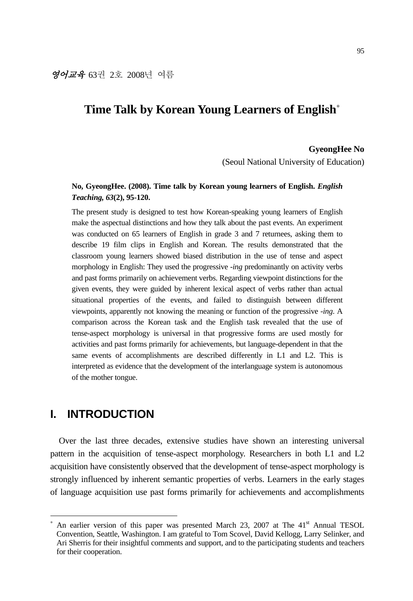# **Time Talk by Korean Young Learners of English**<sup>∗</sup>

#### **GyeongHee No**

(Seoul National University of Education)

## **No, GyeongHee. (2008). Time talk by Korean young learners of English.** *English Teaching, 63***(2), 95-120.**

The present study is designed to test how Korean-speaking young learners of English make the aspectual distinctions and how they talk about the past events. An experiment was conducted on 65 learners of English in grade 3 and 7 returnees, asking them to describe 19 film clips in English and Korean. The results demonstrated that the classroom young learners showed biased distribution in the use of tense and aspect morphology in English: They used the progressive *-ing* predominantly on activity verbs and past forms primarily on achievement verbs. Regarding viewpoint distinctions for the given events, they were guided by inherent lexical aspect of verbs rather than actual situational properties of the events, and failed to distinguish between different viewpoints, apparently not knowing the meaning or function of the progressive *-ing*. A comparison across the Korean task and the English task revealed that the use of tense-aspect morphology is universal in that progressive forms are used mostly for activities and past forms primarily for achievements, but language-dependent in that the same events of accomplishments are described differently in L1 and L2. This is interpreted as evidence that the development of the interlanguage system is autonomous of the mother tongue.

## **I. INTRODUCTION**

-

Over the last three decades, extensive studies have shown an interesting universal pattern in the acquisition of tense-aspect morphology. Researchers in both L1 and L2 acquisition have consistently observed that the development of tense-aspect morphology is strongly influenced by inherent semantic properties of verbs. Learners in the early stages of language acquisition use past forms primarily for achievements and accomplishments

<sup>∗</sup> An earlier version of this paper was presented March 23, 2007 at The  $41<sup>st</sup>$  Annual TESOL Convention, Seattle, Washington. I am grateful to Tom Scovel, David Kellogg, Larry Selinker, and Ari Sherris for their insightful comments and support, and to the participating students and teachers for their cooperation.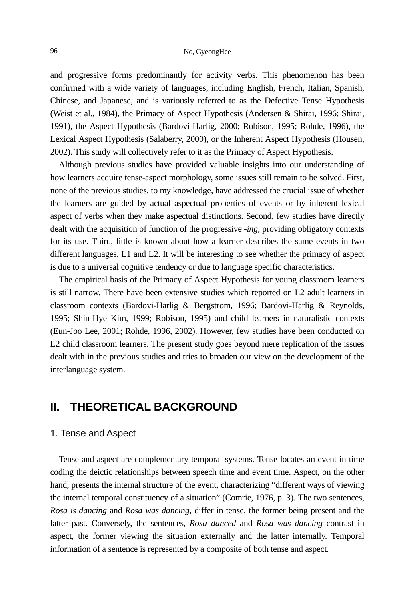#### 96 No, GyeongHee

and progressive forms predominantly for activity verbs. This phenomenon has been confirmed with a wide variety of languages, including English, French, Italian, Spanish, Chinese, and Japanese, and is variously referred to as the Defective Tense Hypothesis (Weist et al., 1984), the Primacy of Aspect Hypothesis (Andersen & Shirai, 1996; Shirai, 1991), the Aspect Hypothesis (Bardovi-Harlig, 2000; Robison, 1995; Rohde, 1996), the Lexical Aspect Hypothesis (Salaberry, 2000), or the Inherent Aspect Hypothesis (Housen, 2002). This study will collectively refer to it as the Primacy of Aspect Hypothesis.

Although previous studies have provided valuable insights into our understanding of how learners acquire tense-aspect morphology, some issues still remain to be solved. First, none of the previous studies, to my knowledge, have addressed the crucial issue of whether the learners are guided by actual aspectual properties of events or by inherent lexical aspect of verbs when they make aspectual distinctions. Second, few studies have directly dealt with the acquisition of function of the progressive *-ing*, providing obligatory contexts for its use. Third, little is known about how a learner describes the same events in two different languages, L1 and L2. It will be interesting to see whether the primacy of aspect is due to a universal cognitive tendency or due to language specific characteristics.

The empirical basis of the Primacy of Aspect Hypothesis for young classroom learners is still narrow. There have been extensive studies which reported on L2 adult learners in classroom contexts (Bardovi-Harlig & Bergstrom, 1996; Bardovi-Harlig & Reynolds, 1995; Shin-Hye Kim, 1999; Robison, 1995) and child learners in naturalistic contexts (Eun-Joo Lee, 2001; Rohde, 1996, 2002). However, few studies have been conducted on L2 child classroom learners. The present study goes beyond mere replication of the issues dealt with in the previous studies and tries to broaden our view on the development of the interlanguage system.

## **II. THEORETICAL BACKGROUND**

#### 1. Tense and Aspect

Tense and aspect are complementary temporal systems. Tense locates an event in time coding the deictic relationships between speech time and event time. Aspect, on the other hand, presents the internal structure of the event, characterizing "different ways of viewing the internal temporal constituency of a situation" (Comrie, 1976, p. 3). The two sentences, *Rosa is dancing* and *Rosa was dancing*, differ in tense, the former being present and the latter past. Conversely, the sentences, *Rosa danced* and *Rosa was dancing* contrast in aspect, the former viewing the situation externally and the latter internally. Temporal information of a sentence is represented by a composite of both tense and aspect.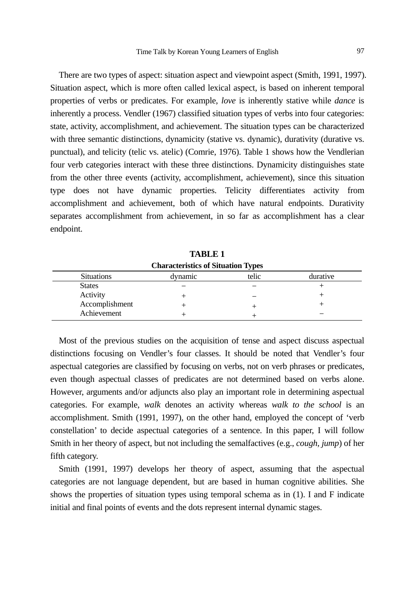There are two types of aspect: situation aspect and viewpoint aspect (Smith, 1991, 1997). Situation aspect, which is more often called lexical aspect, is based on inherent temporal properties of verbs or predicates. For example, *love* is inherently stative while *dance* is inherently a process. Vendler (1967) classified situation types of verbs into four categories: state, activity, accomplishment, and achievement. The situation types can be characterized with three semantic distinctions, dynamicity (stative vs. dynamic), durativity (durative vs. punctual), and telicity (telic vs. atelic) (Comrie, 1976). Table 1 shows how the Vendlerian four verb categories interact with these three distinctions. Dynamicity distinguishes state from the other three events (activity, accomplishment, achievement), since this situation type does not have dynamic properties. Telicity differentiates activity from accomplishment and achievement, both of which have natural endpoints. Durativity separates accomplishment from achievement, in so far as accomplishment has a clear endpoint.

| <b>Characteristics of Situation Types</b> |                              |  |  |  |  |  |  |  |  |  |  |  |
|-------------------------------------------|------------------------------|--|--|--|--|--|--|--|--|--|--|--|
| <b>Situations</b>                         | telic<br>durative<br>dvnamic |  |  |  |  |  |  |  |  |  |  |  |
| <b>States</b>                             |                              |  |  |  |  |  |  |  |  |  |  |  |
| Activity                                  |                              |  |  |  |  |  |  |  |  |  |  |  |
| Accomplishment                            |                              |  |  |  |  |  |  |  |  |  |  |  |
| Achievement                               |                              |  |  |  |  |  |  |  |  |  |  |  |

**TABLE 1** 

Most of the previous studies on the acquisition of tense and aspect discuss aspectual distinctions focusing on Vendler's four classes. It should be noted that Vendler's four aspectual categories are classified by focusing on verbs, not on verb phrases or predicates, even though aspectual classes of predicates are not determined based on verbs alone. However, arguments and/or adjuncts also play an important role in determining aspectual categories. For example, *walk* denotes an activity whereas *walk to the school* is an accomplishment. Smith (1991, 1997), on the other hand, employed the concept of 'verb constellation' to decide aspectual categories of a sentence. In this paper, I will follow Smith in her theory of aspect, but not including the semalfactives (e.g., *cough, jump*) of her fifth category.

Smith (1991, 1997) develops her theory of aspect, assuming that the aspectual categories are not language dependent, but are based in human cognitive abilities. She shows the properties of situation types using temporal schema as in (1). I and F indicate initial and final points of events and the dots represent internal dynamic stages.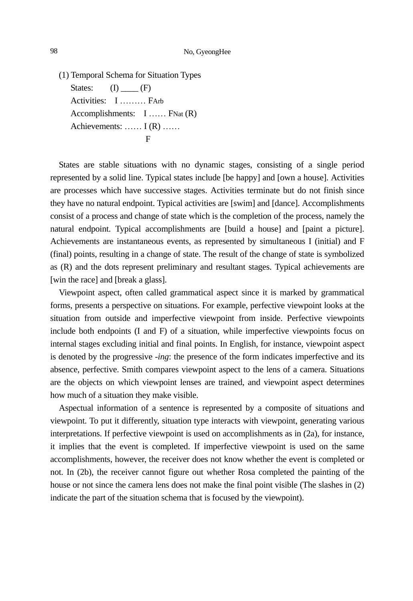(1) Temporal Schema for Situation Types States:  $(I)$   $(F)$  Activities: I ……… FArb Accomplishments: I …… FNat (R) Achievements: …… I (R) …… F

States are stable situations with no dynamic stages, consisting of a single period represented by a solid line. Typical states include [be happy] and [own a house]. Activities are processes which have successive stages. Activities terminate but do not finish since they have no natural endpoint. Typical activities are [swim] and [dance]. Accomplishments consist of a process and change of state which is the completion of the process, namely the natural endpoint. Typical accomplishments are [build a house] and [paint a picture]. Achievements are instantaneous events, as represented by simultaneous I (initial) and F (final) points, resulting in a change of state. The result of the change of state is symbolized as (R) and the dots represent preliminary and resultant stages. Typical achievements are [win the race] and [break a glass].

Viewpoint aspect, often called grammatical aspect since it is marked by grammatical forms, presents a perspective on situations. For example, perfective viewpoint looks at the situation from outside and imperfective viewpoint from inside. Perfective viewpoints include both endpoints (I and F) of a situation, while imperfective viewpoints focus on internal stages excluding initial and final points. In English, for instance, viewpoint aspect is denoted by the progressive *-ing*: the presence of the form indicates imperfective and its absence, perfective. Smith compares viewpoint aspect to the lens of a camera. Situations are the objects on which viewpoint lenses are trained, and viewpoint aspect determines how much of a situation they make visible.

Aspectual information of a sentence is represented by a composite of situations and viewpoint. To put it differently, situation type interacts with viewpoint, generating various interpretations. If perfective viewpoint is used on accomplishments as in (2a), for instance, it implies that the event is completed. If imperfective viewpoint is used on the same accomplishments, however, the receiver does not know whether the event is completed or not. In (2b), the receiver cannot figure out whether Rosa completed the painting of the house or not since the camera lens does not make the final point visible (The slashes in  $(2)$ ) indicate the part of the situation schema that is focused by the viewpoint).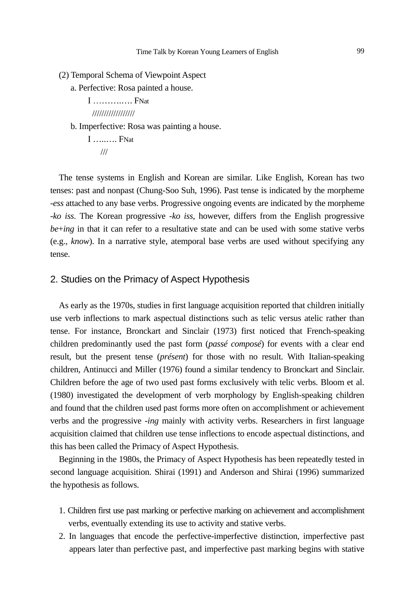(2) Temporal Schema of Viewpoint Aspect

a. Perfective: Rosa painted a house.

I **FNat** //////////////////

#### b. Imperfective: Rosa was painting a house.

 I …..…. FNat ///

The tense systems in English and Korean are similar. Like English, Korean has two tenses: past and nonpast (Chung-Soo Suh, 1996). Past tense is indicated by the morpheme *-ess* attached to any base verbs. Progressive ongoing events are indicated by the morpheme *-ko iss*. The Korean progressive *-ko iss*, however, differs from the English progressive *be*+*ing* in that it can refer to a resultative state and can be used with some stative verbs (e.g., *know*). In a narrative style, atemporal base verbs are used without specifying any tense.

## 2. Studies on the Primacy of Aspect Hypothesis

As early as the 1970s, studies in first language acquisition reported that children initially use verb inflections to mark aspectual distinctions such as telic versus atelic rather than tense. For instance, Bronckart and Sinclair (1973) first noticed that French-speaking children predominantly used the past form (*passé composé*) for events with a clear end result, but the present tense (*présent*) for those with no result. With Italian-speaking children, Antinucci and Miller (1976) found a similar tendency to Bronckart and Sinclair. Children before the age of two used past forms exclusively with telic verbs. Bloom et al. (1980) investigated the development of verb morphology by English-speaking children and found that the children used past forms more often on accomplishment or achievement verbs and the progressive *-ing* mainly with activity verbs. Researchers in first language acquisition claimed that children use tense inflections to encode aspectual distinctions, and this has been called the Primacy of Aspect Hypothesis.

Beginning in the 1980s, the Primacy of Aspect Hypothesis has been repeatedly tested in second language acquisition. Shirai (1991) and Anderson and Shirai (1996) summarized the hypothesis as follows.

- 1. Children first use past marking or perfective marking on achievement and accomplishment verbs, eventually extending its use to activity and stative verbs.
- 2. In languages that encode the perfective-imperfective distinction, imperfective past appears later than perfective past, and imperfective past marking begins with stative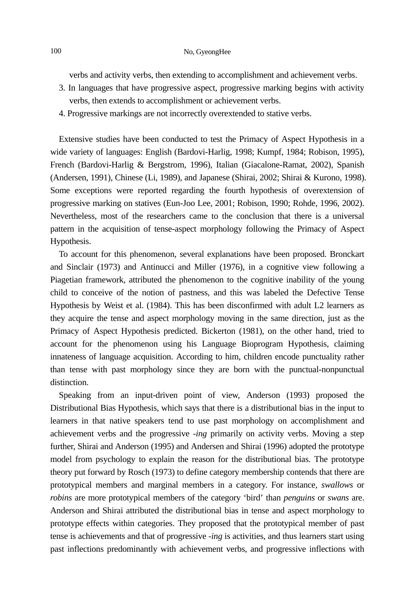## 100 No, Gyeong Hee

verbs and activity verbs, then extending to accomplishment and achievement verbs.

- 3. In languages that have progressive aspect, progressive marking begins with activity verbs, then extends to accomplishment or achievement verbs.
- 4. Progressive markings are not incorrectly overextended to stative verbs.

Extensive studies have been conducted to test the Primacy of Aspect Hypothesis in a wide variety of languages: English (Bardovi-Harlig, 1998; Kumpf, 1984; Robison, 1995), French (Bardovi-Harlig & Bergstrom, 1996), Italian (Giacalone-Ramat, 2002), Spanish (Andersen, 1991), Chinese (Li, 1989), and Japanese (Shirai, 2002; Shirai & Kurono, 1998). Some exceptions were reported regarding the fourth hypothesis of overextension of progressive marking on statives (Eun-Joo Lee, 2001; Robison, 1990; Rohde, 1996, 2002). Nevertheless, most of the researchers came to the conclusion that there is a universal pattern in the acquisition of tense-aspect morphology following the Primacy of Aspect Hypothesis.

To account for this phenomenon, several explanations have been proposed. Bronckart and Sinclair (1973) and Antinucci and Miller (1976), in a cognitive view following a Piagetian framework, attributed the phenomenon to the cognitive inability of the young child to conceive of the notion of pastness, and this was labeled the Defective Tense Hypothesis by Weist et al. (1984). This has been disconfirmed with adult L2 learners as they acquire the tense and aspect morphology moving in the same direction, just as the Primacy of Aspect Hypothesis predicted. Bickerton (1981), on the other hand, tried to account for the phenomenon using his Language Bioprogram Hypothesis, claiming innateness of language acquisition. According to him, children encode punctuality rather than tense with past morphology since they are born with the punctual-nonpunctual distinction.

Speaking from an input-driven point of view, Anderson (1993) proposed the Distributional Bias Hypothesis, which says that there is a distributional bias in the input to learners in that native speakers tend to use past morphology on accomplishment and achievement verbs and the progressive *-ing* primarily on activity verbs. Moving a step further, Shirai and Anderson (1995) and Andersen and Shirai (1996) adopted the prototype model from psychology to explain the reason for the distributional bias. The prototype theory put forward by Rosch (1973) to define category membership contends that there are prototypical members and marginal members in a category. For instance, *swallows* or *robins* are more prototypical members of the category 'bird' than *penguins* or *swans* are. Anderson and Shirai attributed the distributional bias in tense and aspect morphology to prototype effects within categories. They proposed that the prototypical member of past tense is achievements and that of progressive *-ing* is activities, and thus learners start using past inflections predominantly with achievement verbs, and progressive inflections with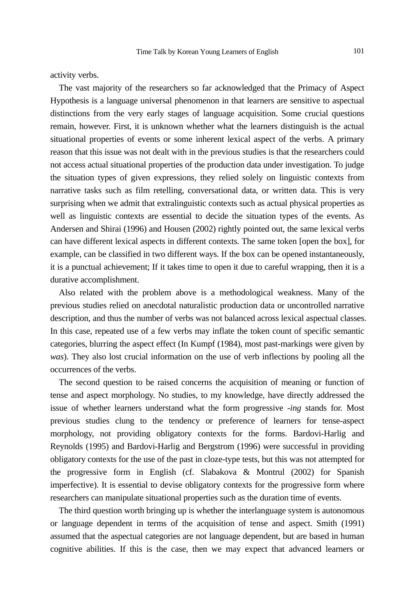activity verbs.

The vast majority of the researchers so far acknowledged that the Primacy of Aspect Hypothesis is a language universal phenomenon in that learners are sensitive to aspectual distinctions from the very early stages of language acquisition. Some crucial questions remain, however. First, it is unknown whether what the learners distinguish is the actual situational properties of events or some inherent lexical aspect of the verbs. A primary reason that this issue was not dealt with in the previous studies is that the researchers could not access actual situational properties of the production data under investigation. To judge the situation types of given expressions, they relied solely on linguistic contexts from narrative tasks such as film retelling, conversational data, or written data. This is very surprising when we admit that extralinguistic contexts such as actual physical properties as well as linguistic contexts are essential to decide the situation types of the events. As Andersen and Shirai (1996) and Housen (2002) rightly pointed out, the same lexical verbs can have different lexical aspects in different contexts. The same token [open the box], for example, can be classified in two different ways. If the box can be opened instantaneously, it is a punctual achievement; If it takes time to open it due to careful wrapping, then it is a durative accomplishment.

Also related with the problem above is a methodological weakness. Many of the previous studies relied on anecdotal naturalistic production data or uncontrolled narrative description, and thus the number of verbs was not balanced across lexical aspectual classes. In this case, repeated use of a few verbs may inflate the token count of specific semantic categories, blurring the aspect effect (In Kumpf (1984), most past-markings were given by *was*). They also lost crucial information on the use of verb inflections by pooling all the occurrences of the verbs.

The second question to be raised concerns the acquisition of meaning or function of tense and aspect morphology. No studies, to my knowledge, have directly addressed the issue of whether learners understand what the form progressive *-ing* stands for. Most previous studies clung to the tendency or preference of learners for tense-aspect morphology, not providing obligatory contexts for the forms. Bardovi-Harlig and Reynolds (1995) and Bardovi-Harlig and Bergstrom (1996) were successful in providing obligatory contexts for the use of the past in cloze-type tests, but this was not attempted for the progressive form in English (cf. Slabakova & Montrul (2002) for Spanish imperfective). It is essential to devise obligatory contexts for the progressive form where researchers can manipulate situational properties such as the duration time of events.

The third question worth bringing up is whether the interlanguage system is autonomous or language dependent in terms of the acquisition of tense and aspect. Smith (1991) assumed that the aspectual categories are not language dependent, but are based in human cognitive abilities. If this is the case, then we may expect that advanced learners or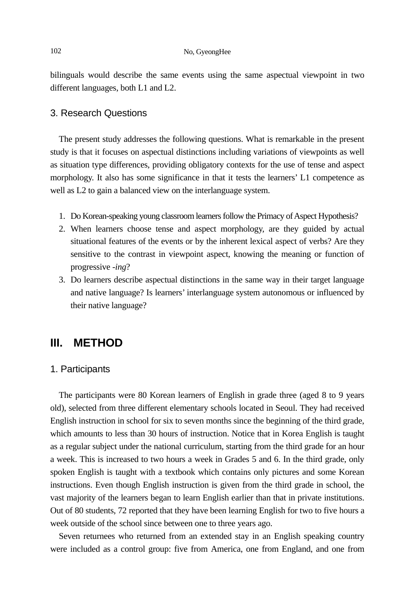bilinguals would describe the same events using the same aspectual viewpoint in two different languages, both L1 and L2.

## 3. Research Questions

The present study addresses the following questions. What is remarkable in the present study is that it focuses on aspectual distinctions including variations of viewpoints as well as situation type differences, providing obligatory contexts for the use of tense and aspect morphology. It also has some significance in that it tests the learners' L1 competence as well as L2 to gain a balanced view on the interlanguage system.

- 1. Do Korean-speaking young classroom learners follow the Primacy of Aspect Hypothesis?
- 2. When learners choose tense and aspect morphology, are they guided by actual situational features of the events or by the inherent lexical aspect of verbs? Are they sensitive to the contrast in viewpoint aspect, knowing the meaning or function of progressive *-ing*?
- 3. Do learners describe aspectual distinctions in the same way in their target language and native language? Is learners' interlanguage system autonomous or influenced by their native language?

# **III. METHOD**

#### 1. Participants

The participants were 80 Korean learners of English in grade three (aged 8 to 9 years old), selected from three different elementary schools located in Seoul. They had received English instruction in school for six to seven months since the beginning of the third grade, which amounts to less than 30 hours of instruction. Notice that in Korea English is taught as a regular subject under the national curriculum, starting from the third grade for an hour a week. This is increased to two hours a week in Grades 5 and 6. In the third grade, only spoken English is taught with a textbook which contains only pictures and some Korean instructions. Even though English instruction is given from the third grade in school, the vast majority of the learners began to learn English earlier than that in private institutions. Out of 80 students, 72 reported that they have been learning English for two to five hours a week outside of the school since between one to three years ago.

Seven returnees who returned from an extended stay in an English speaking country were included as a control group: five from America, one from England, and one from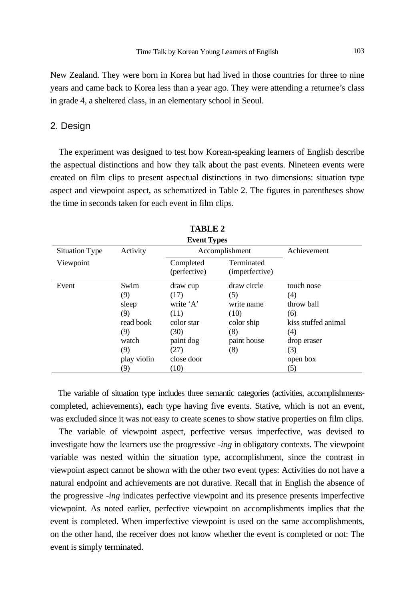New Zealand. They were born in Korea but had lived in those countries for three to nine years and came back to Korea less than a year ago. They were attending a returnee's class in grade 4, a sheltered class, in an elementary school in Seoul.

## 2. Design

The experiment was designed to test how Korean-speaking learners of English describe the aspectual distinctions and how they talk about the past events. Nineteen events were created on film clips to present aspectual distinctions in two dimensions: situation type aspect and viewpoint aspect, as schematized in Table 2. The figures in parentheses show the time in seconds taken for each event in film clips.

| <b>Event Types</b>    |                                                                                       |                                                                                                        |                                                                                     |                                                                                                               |  |  |  |  |  |
|-----------------------|---------------------------------------------------------------------------------------|--------------------------------------------------------------------------------------------------------|-------------------------------------------------------------------------------------|---------------------------------------------------------------------------------------------------------------|--|--|--|--|--|
| <b>Situation Type</b> | Activity                                                                              |                                                                                                        | Accomplishment                                                                      | Achievement                                                                                                   |  |  |  |  |  |
| Viewpoint             |                                                                                       | Completed<br>(perfective)                                                                              | Terminated<br>(imperfective)                                                        |                                                                                                               |  |  |  |  |  |
| Event                 | Swim<br>(9)<br>sleep<br>(9)<br>read book<br>(9)<br>watch<br>(9)<br>play violin<br>(9) | draw cup<br>(17)<br>write 'A'<br>(11)<br>color star<br>(30)<br>paint dog<br>(27)<br>close door<br>(10) | draw circle<br>(5)<br>write name<br>(10)<br>color ship<br>(8)<br>paint house<br>(8) | touch nose<br>(4)<br>throw ball<br>(6)<br>kiss stuffed animal<br>(4)<br>drop eraser<br>(3)<br>open box<br>(5) |  |  |  |  |  |

**TABLE 2** 

The variable of situation type includes three semantic categories (activities, accomplishmentscompleted, achievements), each type having five events. Stative, which is not an event, was excluded since it was not easy to create scenes to show stative properties on film clips.

The variable of viewpoint aspect, perfective versus imperfective, was devised to investigate how the learners use the progressive *-ing* in obligatory contexts. The viewpoint variable was nested within the situation type, accomplishment, since the contrast in viewpoint aspect cannot be shown with the other two event types: Activities do not have a natural endpoint and achievements are not durative. Recall that in English the absence of the progressive *-ing* indicates perfective viewpoint and its presence presents imperfective viewpoint. As noted earlier, perfective viewpoint on accomplishments implies that the event is completed. When imperfective viewpoint is used on the same accomplishments, on the other hand, the receiver does not know whether the event is completed or not: The event is simply terminated.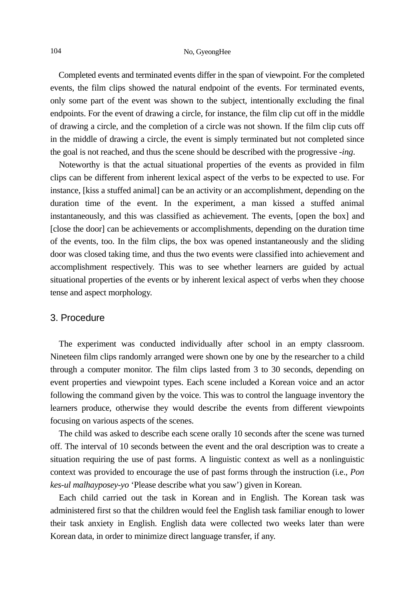## 104 No, GyeongHee

Completed events and terminated events differ in the span of viewpoint. For the completed events, the film clips showed the natural endpoint of the events. For terminated events, only some part of the event was shown to the subject, intentionally excluding the final endpoints. For the event of drawing a circle, for instance, the film clip cut off in the middle of drawing a circle, and the completion of a circle was not shown. If the film clip cuts off in the middle of drawing a circle, the event is simply terminated but not completed since the goal is not reached, and thus the scene should be described with the progressive *-ing*.

Noteworthy is that the actual situational properties of the events as provided in film clips can be different from inherent lexical aspect of the verbs to be expected to use. For instance, [kiss a stuffed animal] can be an activity or an accomplishment, depending on the duration time of the event. In the experiment, a man kissed a stuffed animal instantaneously, and this was classified as achievement. The events, [open the box] and [close the door] can be achievements or accomplishments, depending on the duration time of the events, too. In the film clips, the box was opened instantaneously and the sliding door was closed taking time, and thus the two events were classified into achievement and accomplishment respectively. This was to see whether learners are guided by actual situational properties of the events or by inherent lexical aspect of verbs when they choose tense and aspect morphology.

## 3. Procedure

The experiment was conducted individually after school in an empty classroom. Nineteen film clips randomly arranged were shown one by one by the researcher to a child through a computer monitor. The film clips lasted from 3 to 30 seconds, depending on event properties and viewpoint types. Each scene included a Korean voice and an actor following the command given by the voice. This was to control the language inventory the learners produce, otherwise they would describe the events from different viewpoints focusing on various aspects of the scenes.

The child was asked to describe each scene orally 10 seconds after the scene was turned off. The interval of 10 seconds between the event and the oral description was to create a situation requiring the use of past forms. A linguistic context as well as a nonlinguistic context was provided to encourage the use of past forms through the instruction (i.e., *Pon kes-ul malhayposey-yo* 'Please describe what you saw') given in Korean.

Each child carried out the task in Korean and in English. The Korean task was administered first so that the children would feel the English task familiar enough to lower their task anxiety in English. English data were collected two weeks later than were Korean data, in order to minimize direct language transfer, if any.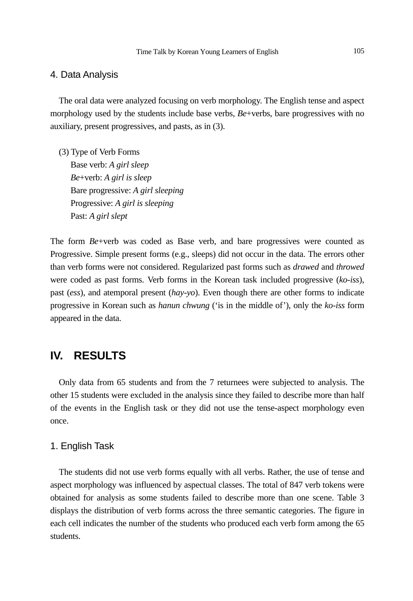#### 4. Data Analysis

The oral data were analyzed focusing on verb morphology. The English tense and aspect morphology used by the students include base verbs,  $Be$ +verbs, bare progressives with no auxiliary, present progressives, and pasts, as in (3).

(3) Type of Verb Forms Base verb: *A girl sleep Be*+verb: *A girl is sleep* Bare progressive: *A girl sleeping* Progressive: *A girl is sleeping* Past: *A girl slept* 

The form *Be*+verb was coded as Base verb, and bare progressives were counted as Progressive. Simple present forms (e.g., sleeps) did not occur in the data. The errors other than verb forms were not considered. Regularized past forms such as *drawed* and *throwed* were coded as past forms. Verb forms in the Korean task included progressive (*ko-iss*), past (*ess*), and atemporal present (*hay-yo*). Even though there are other forms to indicate progressive in Korean such as *hanun chwung* ('is in the middle of'), only the *ko-iss* form appeared in the data.

## **IV. RESULTS**

Only data from 65 students and from the 7 returnees were subjected to analysis. The other 15 students were excluded in the analysis since they failed to describe more than half of the events in the English task or they did not use the tense-aspect morphology even once.

## 1. English Task

The students did not use verb forms equally with all verbs. Rather, the use of tense and aspect morphology was influenced by aspectual classes. The total of 847 verb tokens were obtained for analysis as some students failed to describe more than one scene. Table 3 displays the distribution of verb forms across the three semantic categories. The figure in each cell indicates the number of the students who produced each verb form among the 65 students.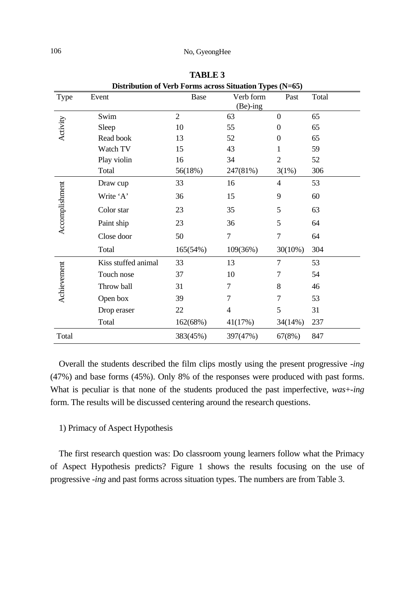## 106 No, GyeongHee

| Distribution of Verb Forms across Situation Types (N=65) |                     |                |                        |                |       |  |  |  |  |  |
|----------------------------------------------------------|---------------------|----------------|------------------------|----------------|-------|--|--|--|--|--|
| Type                                                     | Event               | Base           | Verb form<br>$Be$ -ing | Past           | Total |  |  |  |  |  |
|                                                          | Swim                | $\overline{2}$ | 63                     | $\Omega$       | 65    |  |  |  |  |  |
| Activity                                                 | Sleep               | 10             | 55                     | $\Omega$       | 65    |  |  |  |  |  |
|                                                          | Read book           | 13             | 52                     | $\Omega$       | 65    |  |  |  |  |  |
|                                                          | Watch TV            | 15             | 43                     | 1              | 59    |  |  |  |  |  |
|                                                          | Play violin         | 16             | 34                     | $\overline{c}$ | 52    |  |  |  |  |  |
|                                                          | Total               | 56(18%)        | 247(81%)               | 3(1%)          | 306   |  |  |  |  |  |
|                                                          | Draw cup            | 33             | 16                     | $\overline{4}$ | 53    |  |  |  |  |  |
|                                                          | Write 'A'           | 36             | 15                     | 9              | 60    |  |  |  |  |  |
|                                                          | Color star          | 23             | 35                     | 5              | 63    |  |  |  |  |  |
| Accomplishment                                           | Paint ship          | 23             | 36                     | 5              | 64    |  |  |  |  |  |
|                                                          | Close door          | 50             | $\tau$                 | 7              | 64    |  |  |  |  |  |
|                                                          | Total               | 165(54%)       | 109(36%)               | $30(10\%)$     | 304   |  |  |  |  |  |
| Achievement                                              | Kiss stuffed animal | 33             | 13                     | 7              | 53    |  |  |  |  |  |
|                                                          | Touch nose          | 37             | 10                     | 7              | 54    |  |  |  |  |  |
|                                                          | Throw ball          | 31             | 7                      | 8              | 46    |  |  |  |  |  |
|                                                          | Open box            | 39             | 7                      | 7              | 53    |  |  |  |  |  |
|                                                          | Drop eraser         | 22             | $\overline{4}$         | 5              | 31    |  |  |  |  |  |
|                                                          | Total               | 162(68%)       | 41(17%)                | 34(14%)        | 237   |  |  |  |  |  |
| Total                                                    |                     | 383(45%)       | 397(47%)               | 67(8%)         | 847   |  |  |  |  |  |

**TABLE 3** 

Overall the students described the film clips mostly using the present progressive *-ing* (47%) and base forms (45%). Only 8% of the responses were produced with past forms. What is peculiar is that none of the students produced the past imperfective, *was*+*-ing* form. The results will be discussed centering around the research questions.

## 1) Primacy of Aspect Hypothesis

The first research question was: Do classroom young learners follow what the Primacy of Aspect Hypothesis predicts? Figure 1 shows the results focusing on the use of progressive *-ing* and past forms across situation types. The numbers are from Table 3.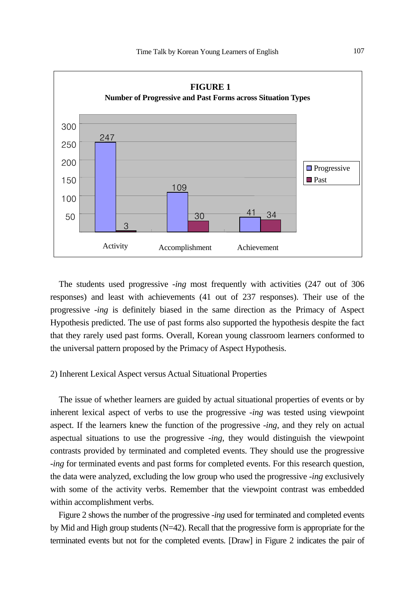

The students used progressive *-ing* most frequently with activities (247 out of 306 responses) and least with achievements (41 out of 237 responses). Their use of the progressive *-ing* is definitely biased in the same direction as the Primacy of Aspect Hypothesis predicted. The use of past forms also supported the hypothesis despite the fact that they rarely used past forms. Overall, Korean young classroom learners conformed to the universal pattern proposed by the Primacy of Aspect Hypothesis.

### 2) Inherent Lexical Aspect versus Actual Situational Properties

The issue of whether learners are guided by actual situational properties of events or by inherent lexical aspect of verbs to use the progressive *-ing* was tested using viewpoint aspect. If the learners knew the function of the progressive *-ing*, and they rely on actual aspectual situations to use the progressive *-ing*, they would distinguish the viewpoint contrasts provided by terminated and completed events. They should use the progressive *-ing* for terminated events and past forms for completed events. For this research question, the data were analyzed, excluding the low group who used the progressive *-ing* exclusively with some of the activity verbs. Remember that the viewpoint contrast was embedded within accomplishment verbs.

Figure 2 shows the number of the progressive *-ing* used for terminated and completed events by Mid and High group students (N=42). Recall that the progressive form is appropriate for the terminated events but not for the completed events. [Draw] in Figure 2 indicates the pair of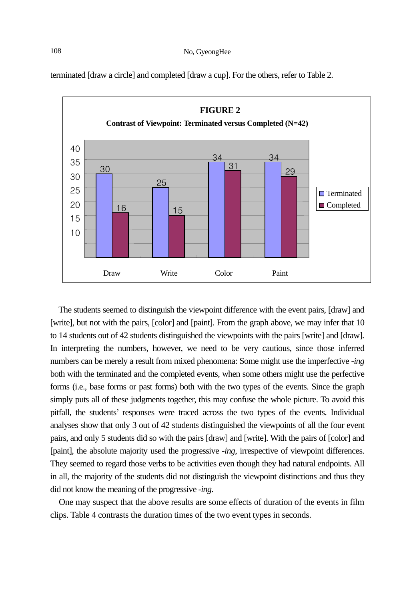terminated [draw a circle] and completed [draw a cup]. For the others, refer to Table 2.



The students seemed to distinguish the viewpoint difference with the event pairs, [draw] and [write], but not with the pairs, [color] and [paint]. From the graph above, we may infer that 10 to 14 students out of 42 students distinguished the viewpoints with the pairs [write] and [draw]. In interpreting the numbers, however, we need to be very cautious, since those inferred numbers can be merely a result from mixed phenomena: Some might use the imperfective *-ing* both with the terminated and the completed events, when some others might use the perfective forms (i.e., base forms or past forms) both with the two types of the events. Since the graph simply puts all of these judgments together, this may confuse the whole picture. To avoid this pitfall, the students' responses were traced across the two types of the events. Individual analyses show that only 3 out of 42 students distinguished the viewpoints of all the four event pairs, and only 5 students did so with the pairs [draw] and [write]. With the pairs of [color] and [paint], the absolute majority used the progressive *-ing*, irrespective of viewpoint differences. They seemed to regard those verbs to be activities even though they had natural endpoints. All in all, the majority of the students did not distinguish the viewpoint distinctions and thus they did not know the meaning of the progressive *-ing*.

One may suspect that the above results are some effects of duration of the events in film clips. Table 4 contrasts the duration times of the two event types in seconds.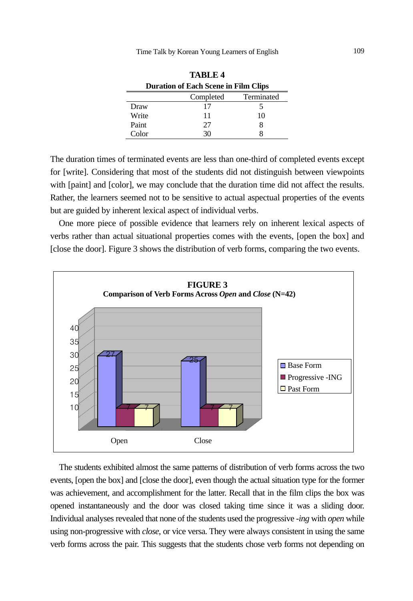**TABLE 4** 

| тарыз т                                     |    |    |  |  |  |  |  |  |  |  |
|---------------------------------------------|----|----|--|--|--|--|--|--|--|--|
| <b>Duration of Each Scene in Film Clips</b> |    |    |  |  |  |  |  |  |  |  |
| Terminated<br>Completed                     |    |    |  |  |  |  |  |  |  |  |
| Draw                                        | 17 |    |  |  |  |  |  |  |  |  |
| Write                                       | 11 | 10 |  |  |  |  |  |  |  |  |
| Paint                                       | 27 | 8  |  |  |  |  |  |  |  |  |
| Color                                       | 30 |    |  |  |  |  |  |  |  |  |

The duration times of terminated events are less than one-third of completed events except for [write]. Considering that most of the students did not distinguish between viewpoints with [paint] and [color], we may conclude that the duration time did not affect the results. Rather, the learners seemed not to be sensitive to actual aspectual properties of the events but are guided by inherent lexical aspect of individual verbs.

One more piece of possible evidence that learners rely on inherent lexical aspects of verbs rather than actual situational properties comes with the events, [open the box] and [close the door]. Figure 3 shows the distribution of verb forms, comparing the two events.



The students exhibited almost the same patterns of distribution of verb forms across the two events, [open the box] and [close the door], even though the actual situation type for the former was achievement, and accomplishment for the latter. Recall that in the film clips the box was opened instantaneously and the door was closed taking time since it was a sliding door. Individual analyses revealed that none of the students used the progressive *-ing* with *open* while using non-progressive with *close*, or vice versa. They were always consistent in using the same verb forms across the pair. This suggests that the students chose verb forms not depending on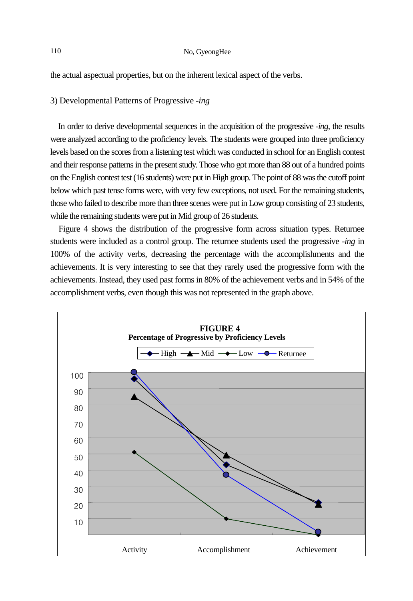the actual aspectual properties, but on the inherent lexical aspect of the verbs.

#### 3) Developmental Patterns of Progressive *-ing*

In order to derive developmental sequences in the acquisition of the progressive *-ing*, the results were analyzed according to the proficiency levels. The students were grouped into three proficiency levels based on the scores from a listening test which was conducted in school for an English contest and their response patterns in the present study. Those who got more than 88 out of a hundred points on the English contest test (16 students) were put in High group. The point of 88 was the cutoff point below which past tense forms were, with very few exceptions, not used. For the remaining students, those who failed to describe more than three scenes were put in Low group consisting of 23 students, while the remaining students were put in Mid group of 26 students.

Figure 4 shows the distribution of the progressive form across situation types. Returnee students were included as a control group. The returnee students used the progressive *-ing* in 100% of the activity verbs, decreasing the percentage with the accomplishments and the achievements. It is very interesting to see that they rarely used the progressive form with the achievements. Instead, they used past forms in 80% of the achievement verbs and in 54% of the accomplishment verbs, even though this was not represented in the graph above.

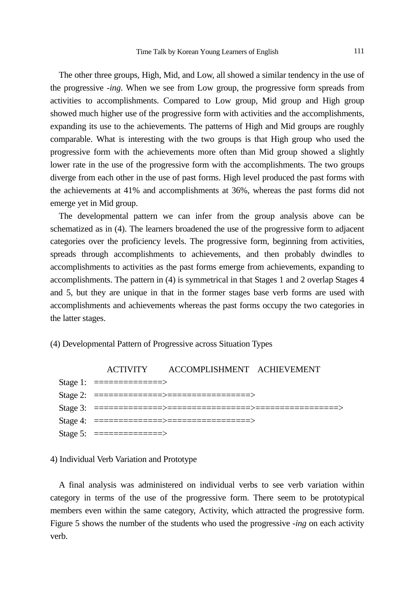The other three groups, High, Mid, and Low, all showed a similar tendency in the use of the progressive *-ing*. When we see from Low group, the progressive form spreads from activities to accomplishments. Compared to Low group, Mid group and High group showed much higher use of the progressive form with activities and the accomplishments, expanding its use to the achievements. The patterns of High and Mid groups are roughly comparable. What is interesting with the two groups is that High group who used the progressive form with the achievements more often than Mid group showed a slightly lower rate in the use of the progressive form with the accomplishments. The two groups diverge from each other in the use of past forms. High level produced the past forms with the achievements at 41% and accomplishments at 36%, whereas the past forms did not emerge yet in Mid group.

The developmental pattern we can infer from the group analysis above can be schematized as in (4). The learners broadened the use of the progressive form to adjacent categories over the proficiency levels. The progressive form, beginning from activities, spreads through accomplishments to achievements, and then probably dwindles to accomplishments to activities as the past forms emerge from achievements, expanding to accomplishments. The pattern in (4) is symmetrical in that Stages 1 and 2 overlap Stages 4 and 5, but they are unique in that in the former stages base verb forms are used with accomplishments and achievements whereas the past forms occupy the two categories in the latter stages.

#### (4) Developmental Pattern of Progressive across Situation Types



#### 4) Individual Verb Variation and Prototype

A final analysis was administered on individual verbs to see verb variation within category in terms of the use of the progressive form. There seem to be prototypical members even within the same category, Activity, which attracted the progressive form. Figure 5 shows the number of the students who used the progressive *-ing* on each activity verb.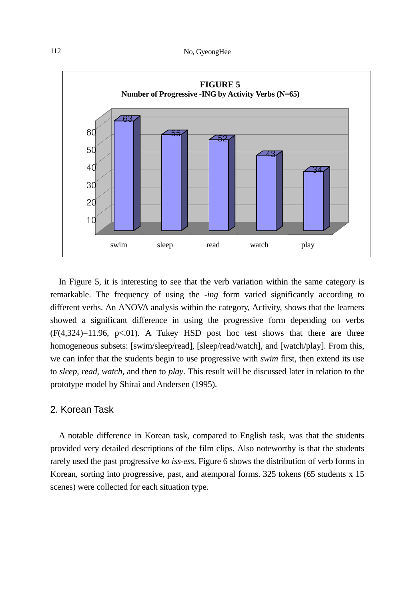

In Figure 5, it is interesting to see that the verb variation within the same category is remarkable. The frequency of using the *-ing* form varied significantly according to different verbs. An ANOVA analysis within the category, Activity, shows that the learners showed a significant difference in using the progressive form depending on verbs  $(F(4,324)=11.96, p<.01)$ . A Tukey HSD post hoc test shows that there are three homogeneous subsets: [swim/sleep/read], [sleep/read/watch], and [watch/play]. From this, we can infer that the students begin to use progressive with *swim* first, then extend its use to *sleep*, *read*, *watch*, and then to *play*. This result will be discussed later in relation to the prototype model by Shirai and Andersen (1995).

## 2. Korean Task

A notable difference in Korean task, compared to English task, was that the students provided very detailed descriptions of the film clips. Also noteworthy is that the students rarely used the past progressive *ko iss-ess*. Figure 6 shows the distribution of verb forms in Korean, sorting into progressive, past, and atemporal forms. 325 tokens (65 students x 15 scenes) were collected for each situation type.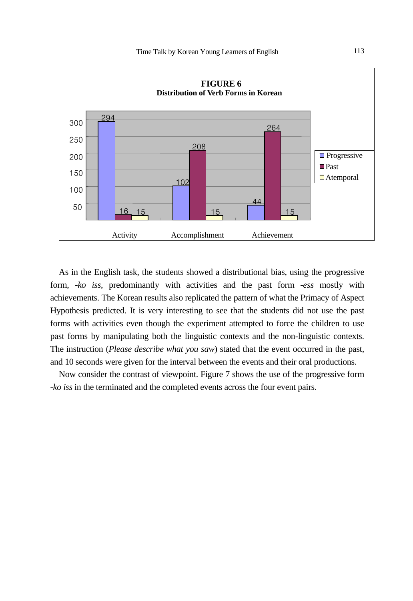

As in the English task, the students showed a distributional bias, using the progressive form, *-ko iss*, predominantly with activities and the past form *-ess* mostly with achievements. The Korean results also replicated the pattern of what the Primacy of Aspect Hypothesis predicted. It is very interesting to see that the students did not use the past forms with activities even though the experiment attempted to force the children to use past forms by manipulating both the linguistic contexts and the non-linguistic contexts. The instruction (*Please describe what you saw*) stated that the event occurred in the past, and 10 seconds were given for the interval between the events and their oral productions.

Now consider the contrast of viewpoint. Figure 7 shows the use of the progressive form -*ko iss* in the terminated and the completed events across the four event pairs.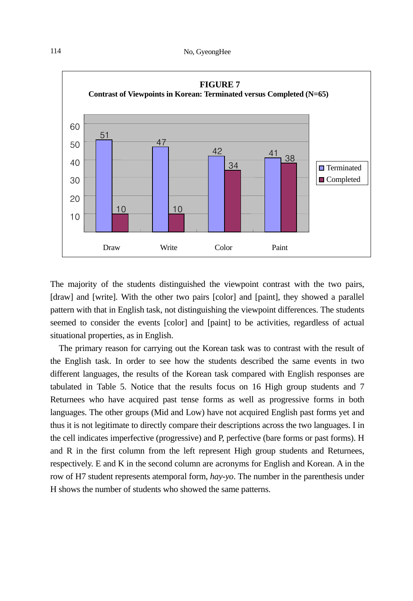

The majority of the students distinguished the viewpoint contrast with the two pairs, [draw] and [write]. With the other two pairs [color] and [paint], they showed a parallel pattern with that in English task, not distinguishing the viewpoint differences. The students seemed to consider the events [color] and [paint] to be activities, regardless of actual situational properties, as in English.

The primary reason for carrying out the Korean task was to contrast with the result of the English task. In order to see how the students described the same events in two different languages, the results of the Korean task compared with English responses are tabulated in Table 5. Notice that the results focus on 16 High group students and 7 Returnees who have acquired past tense forms as well as progressive forms in both languages. The other groups (Mid and Low) have not acquired English past forms yet and thus it is not legitimate to directly compare their descriptions across the two languages. I in the cell indicates imperfective (progressive) and P, perfective (bare forms or past forms). H and R in the first column from the left represent High group students and Returnees, respectively. E and K in the second column are acronyms for English and Korean. A in the row of H7 student represents atemporal form, *hay-yo*. The number in the parenthesis under H shows the number of students who showed the same patterns.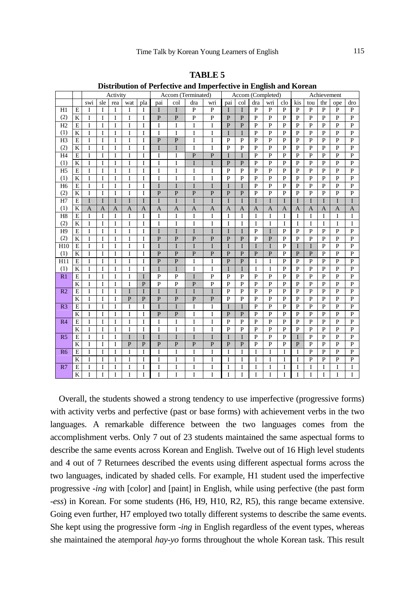|                 |                         | Activity       |                |                |                |                | Accom (Terminated)  |                     |                |                | Accom (Completed)   |                     |                     |                                  | Achievement         |                     |                     |                                  |                                  |                                |
|-----------------|-------------------------|----------------|----------------|----------------|----------------|----------------|---------------------|---------------------|----------------|----------------|---------------------|---------------------|---------------------|----------------------------------|---------------------|---------------------|---------------------|----------------------------------|----------------------------------|--------------------------------|
|                 |                         | swi            | sle            | rea            | wat            | pla            | pai                 | col                 | dra            | wri            | pai                 | col                 | dra                 | wri                              | clo                 | kis                 | tou                 | thr                              | ope                              | dro                            |
| H1              | $\overline{E}$          | I              | T              | T              | T              | I              | I                   | T                   | $\mathbf{P}$   | $\mathbf{P}$   | I                   | T                   | $\mathbf{P}$        | $\overline{P}$                   | $\overline{P}$      | P                   | $\overline{P}$      | $\overline{P}$                   | $\mathbf{P}$                     | P                              |
| (2)             | K                       | I              | I              | I              | I              | I              | $\overline{P}$      | $\overline{P}$      | $\overline{P}$ | $\overline{P}$ | $\overline{P}$      | $\overline{P}$      | $\overline{P}$      | $\overline{P}$                   | $\overline{P}$      | $\overline{P}$      | $\overline{P}$      | $\overline{P}$                   | $\overline{P}$                   | $\overline{P}$                 |
| H2              | $\overline{E}$          | I              | I              | T              | I              | T              | I                   | I                   | I              | I              | $\overline{P}$      | $\overline{P}$      | $\overline{P}$      | $\overline{P}$                   | $\overline{P}$      | P                   | $\overline{P}$      | $\overline{P}$                   | $\mathbf{P}$                     | $\mathbf{P}$                   |
| (1)             | K                       | I              | I              | T              | I              | T              | I                   | I                   | I              | I              | I                   | T                   | $\mathbf{P}$        | $\overline{P}$                   | P                   | P                   | $\overline{P}$      | $\overline{P}$                   | $\mathbf{P}$                     | $\mathbf{P}$                   |
| H <sub>3</sub>  | E                       | I              | I              | I              | I              | I              | $\overline{P}$      | $\overline{P}$      | I              | I              | $\overline{P}$      | $\mathbf{P}$        | $\mathbf{P}$        | $\overline{P}$                   | P                   | P                   | $\overline{P}$      | $\overline{P}$                   | $\mathbf{P}$                     | $\mathbf{P}$                   |
| (2)             | K                       | I              | I              | I              | I              | T              | I                   | I                   | I              | I              | $\overline{P}$      | $\overline{P}$      | $\mathbf{P}$        | $\overline{P}$                   | $\overline{P}$      | P                   | $\overline{P}$      | $\overline{P}$                   | $\overline{P}$                   | $\overline{P}$                 |
| H <sub>4</sub>  | E                       | I              | I              | T              | I              | T              | I                   | I                   | $\overline{P}$ | $\overline{P}$ | I                   | T                   | $\overline{P}$      | $\overline{P}$                   | $\overline{P}$      | $\overline{P}$      | $\overline{P}$      | $\overline{P}$                   | $\overline{P}$                   | $\overline{P}$                 |
| (1)             | K                       | I              | I              | T              | I              | T              | Ī                   | I                   | Ī              | I              | $\overline{P}$      | $\overline{P}$      | $\overline{P}$      | $\overline{P}$                   | $\overline{P}$      | $\overline{P}$      | $\overline{P}$      | $\overline{P}$                   | $\overline{P}$                   | $\overline{P}$                 |
| H <sub>5</sub>  | E                       | I              | I              | T              | I              | I              | I                   | I                   | I              | I              | $\overline{P}$      | $\overline{P}$      | P                   | $\mathbf{P}$                     | $\overline{P}$      | P                   | P                   | $\overline{P}$                   | P                                | $\mathbf{P}$                   |
| (1)             | K                       | I              | I              | Ī              | I              | I              | I                   | I                   | I              | I              | P                   | $\overline{P}$      | P                   | $\mathbf{P}$                     | P                   | P                   | $\overline{P}$      | $\overline{P}$                   | P                                | $\mathbf{P}$                   |
| H <sub>6</sub>  | E                       | I              | Ĩ              | L              | I              | T              | I                   | I                   | I              | I              | Ĭ                   | T                   | P                   | $\overline{P}$                   | P                   | P                   | $\overline{P}$      | P                                | P                                | $\mathbf{P}$                   |
| (2)             | K                       | I              | T              | I              | I              | T              | $\overline{P}$      | $\overline{P}$      | $\overline{P}$ | $\overline{P}$ | $\overline{P}$      | $\overline{P}$      | P                   | $\overline{P}$                   | $\overline{P}$      | $\overline{P}$      | $\overline{P}$      | $\overline{P}$                   | $\overline{P}$                   | P                              |
| H7              | E                       | I              | T              | <sup>T</sup>   | I              | T              | I                   | I                   | I              | I              | Ĭ                   | T                   | I                   | T                                | I                   | T                   | T                   | T                                | T                                | T                              |
| (1)             | K                       | $\overline{A}$ | $\overline{A}$ | $\overline{A}$ | $\mathbf{A}$   | $\mathbf{A}$   | $\overline{A}$      | $\mathbf{A}$        | $\mathbf{A}$   | $\mathbf{A}$   | A                   | A                   | $\overline{A}$      | $\overline{A}$                   | A                   | $\overline{A}$      | $\overline{A}$      | $\mathbf{A}$                     | $\overline{A}$                   | A                              |
| H <sub>8</sub>  | E                       | I              | I              | I              | I              | Ĩ              | I                   | I                   | I              | I              | I                   | I                   | I                   | T                                | I                   | I                   | I                   | I                                | I                                | I                              |
| (2)             | K                       | I              | I              | T              | I              | Ĩ              | I                   | Ĩ                   | I              | I              | Ī                   | Ī                   | I                   | T                                | I                   | I                   | T                   | T                                | I                                | I                              |
| H9              | E                       | I              | I              | 1              | I              | I              | I                   | Ĭ                   | I              | I              | I                   | T                   | $\overline{P}$      | I                                | $\overline{P}$      | $\overline{P}$      | $\overline{P}$      | $\overline{P}$                   | $\overline{P}$                   | P                              |
| (2)             | $\overline{\mathbf{K}}$ | I              | I              | Ī              | I              | Ĩ              | $\overline{P}$      | $\overline{P}$      | $\overline{P}$ | $\overline{P}$ | $\overline{P}$      | $\overline{P}$      | $\overline{P}$      | $\overline{P}$                   | $\overline{P}$      | $\overline{P}$      | $\overline{P}$      | $\overline{P}$                   | $\overline{P}$                   | $\overline{P}$                 |
| H <sub>10</sub> | E                       | I              | I              | I              | I              | I              | I                   | I                   | I              | I              | I                   | I                   | I                   | T                                | $\overline{P}$      | I                   | I                   | $\mathbf{P}$                     | $\mathbf{P}$                     | $\mathbf{P}$                   |
| (1)             | K                       | I              | T              | Ī              | I              | Ĭ              | P                   | $\overline{P}$      | $\overline{P}$ | $\overline{P}$ | $\overline{P}$      | P                   | P                   | $\mathbf{P}$                     | P                   | $\overline{P}$      | $\overline{P}$      | $\mathbf{P}$                     | $\overline{P}$                   | $\mathbf{P}$                   |
| H11             | E                       | I              | I              | I              | I              | I              | $\overline{P}$      | $\overline{P}$      | I              | I              | $\overline{P}$      | $\overline{P}$      | I                   | I                                | $\overline{P}$      | $\overline{P}$      | $\overline{P}$      | $\mathbf{P}$                     | $\mathbf{P}$                     | $\overline{P}$                 |
| (1)             | K                       | I              | I              | I              | I              | Ĭ              | I                   | I                   | I              | I              | I                   | I                   | I                   | I                                | $\overline{P}$      | $\overline{P}$      | $\overline{P}$      | $\overline{P}$                   | $\mathbf{P}$                     | $\mathbf{P}$                   |
| R1              | $\overline{E}$          | Ī              | I              | I              | I              | T              | $\overline{P}$      | $\overline{P}$      | Ī              | $\overline{P}$ | $\overline{P}$      | $\overline{P}$      | $\overline{P}$      | $\overline{P}$                   | $\overline{P}$      | $\overline{P}$      | $\overline{P}$      | $\overline{P}$                   | $\overline{P}$                   | $\overline{P}$                 |
|                 | K                       | I              | I              | T              | I              | $\overline{P}$ | $\overline{P}$      | $\overline{P}$      | $\overline{P}$ | $\overline{P}$ | $\overline{P}$      | $\overline{P}$      | P                   | $\overline{P}$                   | $\overline{P}$      | $\overline{P}$      | $\overline{P}$      | $\overline{P}$                   | $\overline{P}$<br>$\overline{P}$ | $\overline{P}$                 |
| R <sub>2</sub>  | E                       | Ī              | T              | I.             | Ĭ              | Ĭ              | I                   | Ĭ                   | Ĭ              | I              | $\overline{P}$      | $\overline{P}$      | P                   | $\overline{P}$                   | $\overline{P}$      | $\overline{P}$      | $\overline{P}$      | $\overline{P}$                   |                                  | $\overline{P}$                 |
|                 | K                       | I              | I              | I.             | $\overline{P}$ | $\overline{P}$ | P                   | $\overline{P}$      | $\overline{P}$ | $\overline{P}$ | P                   | $\overline{P}$      | P<br>$\overline{P}$ | $\overline{P}$<br>$\overline{P}$ | P<br>$\overline{P}$ | P<br>$\overline{P}$ | P<br>$\overline{P}$ | $\overline{P}$<br>$\overline{P}$ | $\mathbf{p}$<br>$\overline{P}$   | $\mathbf{P}$<br>$\overline{P}$ |
| R <sub>3</sub>  | $\overline{E}$<br>K     | I              | T              | T              | Ĭ              | T              | I<br>$\overline{P}$ | T<br>$\overline{P}$ | I              | I              | Ĭ<br>$\overline{P}$ | T<br>$\overline{P}$ | $\overline{P}$      | $\overline{P}$                   | $\overline{P}$      | $\overline{P}$      | $\overline{P}$      | $\overline{P}$                   | $\overline{P}$                   | $\overline{P}$                 |
|                 |                         | I              | I<br>I         | I<br>T         | I              | I              |                     |                     | I              | I              | $\overline{P}$      | $\overline{P}$      | P                   | $\overline{P}$                   | $\overline{P}$      | $\overline{P}$      | $\overline{P}$      | $\overline{P}$                   | $\overline{P}$                   | P                              |
| R4              | E<br>K                  | I              | I              |                | I              | T<br>T         | I<br>I              | I<br>I              | I              | I<br>I         | $\overline{P}$      | $\mathbf{P}$        | $\mathbf{P}$        | $\overline{P}$                   | P                   | P                   | $\overline{P}$      | $\mathbf{P}$                     | $\mathbf{P}$                     | $\mathbf{P}$                   |
| R <sub>5</sub>  | E                       | I<br>I         |                | I              | I<br>I         | T <sub>1</sub> | I                   | I                   | I<br>I         | I              | I                   |                     | $\mathbf{P}$        | $\overline{P}$                   | P                   | I                   | P                   | $\mathbf{P}$                     | $\mathbf{P}$                     | $\mathbf{P}$                   |
|                 | $\overline{\mathbf{K}}$ | I              | I<br>T         | I<br>T         | $\overline{P}$ | $\overline{P}$ | $\overline{P}$      | $\overline{P}$      | $\overline{P}$ | $\overline{P}$ | $\overline{P}$      | I<br>$\overline{P}$ | $\overline{P}$      | $\overline{P}$                   | $\overline{P}$      | $\overline{P}$      | $\overline{P}$      | $\overline{P}$                   | $\overline{P}$                   | $\overline{P}$                 |
| R6              | $\overline{E}$          | I              | I              | T              | I              | I              | I                   | I                   | I              | I              | I                   | I                   | I                   | I                                | I                   | I                   | $\overline{P}$      | $\overline{P}$                   | $\overline{P}$                   | $\overline{P}$                 |
|                 | K                       | I              | I              | T              | I              | Ĭ              | I                   | I                   | I              | I              | I                   | I                   | I                   | I                                | I                   | I                   | $\overline{P}$      | $\overline{P}$                   | $\mathbf{P}$                     | $\mathbf{P}$                   |
| R7              | E                       | I              | I              | Ī              | I              | I              | I                   | I                   | I              | I              | I                   | I                   | I                   | I                                | I                   | I                   | I                   | I                                | I                                | I                              |
|                 | K                       | I              | I              | Ī              | I              | Ĭ              | I                   | I                   | I              | Ĭ              | Ĭ                   | I                   | I                   | Ĭ                                | I                   | Ĭ                   | I                   | Ī                                | I                                | T                              |
|                 |                         |                |                |                |                |                |                     |                     |                |                |                     |                     |                     |                                  |                     |                     |                     |                                  |                                  |                                |

**TABLE 5** 

**Distribution of Perfective and Imperfective in English and Korean** 

Overall, the students showed a strong tendency to use imperfective (progressive forms) with activity verbs and perfective (past or base forms) with achievement verbs in the two languages. A remarkable difference between the two languages comes from the accomplishment verbs. Only 7 out of 23 students maintained the same aspectual forms to describe the same events across Korean and English. Twelve out of 16 High level students and 4 out of 7 Returnees described the events using different aspectual forms across the two languages, indicated by shaded cells. For example, H1 student used the imperfective progressive *-ing* with [color] and [paint] in English, while using perfective (the past form *-ess*) in Korean. For some students (H6, H9, H10, R2, R5), this range became extensive. Going even further, H7 employed two totally different systems to describe the same events. She kept using the progressive form *-ing* in English regardless of the event types, whereas she maintained the atemporal *hay-yo* forms throughout the whole Korean task. This result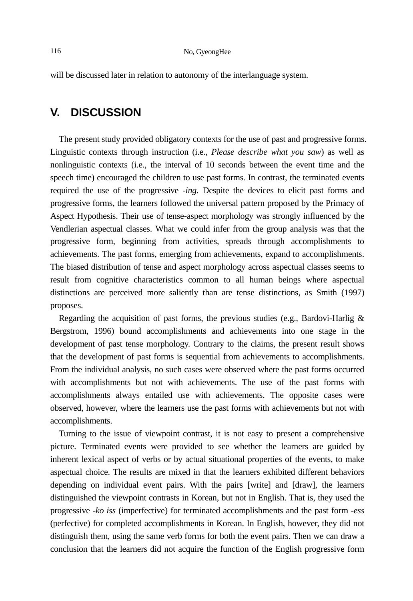will be discussed later in relation to autonomy of the interlanguage system.

# **V. DISCUSSION**

The present study provided obligatory contexts for the use of past and progressive forms. Linguistic contexts through instruction (i.e., *Please describe what you saw*) as well as nonlinguistic contexts (i.e., the interval of 10 seconds between the event time and the speech time) encouraged the children to use past forms. In contrast, the terminated events required the use of the progressive *-ing*. Despite the devices to elicit past forms and progressive forms, the learners followed the universal pattern proposed by the Primacy of Aspect Hypothesis. Their use of tense-aspect morphology was strongly influenced by the Vendlerian aspectual classes. What we could infer from the group analysis was that the progressive form, beginning from activities, spreads through accomplishments to achievements. The past forms, emerging from achievements, expand to accomplishments. The biased distribution of tense and aspect morphology across aspectual classes seems to result from cognitive characteristics common to all human beings where aspectual distinctions are perceived more saliently than are tense distinctions, as Smith (1997) proposes.

Regarding the acquisition of past forms, the previous studies (e.g., Bardovi-Harlig  $\&$ Bergstrom, 1996) bound accomplishments and achievements into one stage in the development of past tense morphology. Contrary to the claims, the present result shows that the development of past forms is sequential from achievements to accomplishments. From the individual analysis, no such cases were observed where the past forms occurred with accomplishments but not with achievements. The use of the past forms with accomplishments always entailed use with achievements. The opposite cases were observed, however, where the learners use the past forms with achievements but not with accomplishments.

Turning to the issue of viewpoint contrast, it is not easy to present a comprehensive picture. Terminated events were provided to see whether the learners are guided by inherent lexical aspect of verbs or by actual situational properties of the events, to make aspectual choice. The results are mixed in that the learners exhibited different behaviors depending on individual event pairs. With the pairs [write] and [draw], the learners distinguished the viewpoint contrasts in Korean, but not in English. That is, they used the progressive *-ko iss* (imperfective) for terminated accomplishments and the past form *-ess* (perfective) for completed accomplishments in Korean. In English, however, they did not distinguish them, using the same verb forms for both the event pairs. Then we can draw a conclusion that the learners did not acquire the function of the English progressive form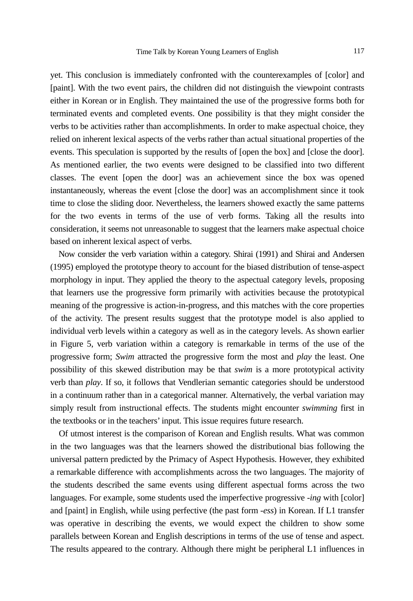yet. This conclusion is immediately confronted with the counterexamples of [color] and [paint]. With the two event pairs, the children did not distinguish the viewpoint contrasts either in Korean or in English. They maintained the use of the progressive forms both for terminated events and completed events. One possibility is that they might consider the verbs to be activities rather than accomplishments. In order to make aspectual choice, they relied on inherent lexical aspects of the verbs rather than actual situational properties of the events. This speculation is supported by the results of [open the box] and [close the door]. As mentioned earlier, the two events were designed to be classified into two different classes. The event [open the door] was an achievement since the box was opened instantaneously, whereas the event [close the door] was an accomplishment since it took time to close the sliding door. Nevertheless, the learners showed exactly the same patterns for the two events in terms of the use of verb forms. Taking all the results into consideration, it seems not unreasonable to suggest that the learners make aspectual choice based on inherent lexical aspect of verbs.

Now consider the verb variation within a category. Shirai (1991) and Shirai and Andersen (1995) employed the prototype theory to account for the biased distribution of tense-aspect morphology in input. They applied the theory to the aspectual category levels, proposing that learners use the progressive form primarily with activities because the prototypical meaning of the progressive is action-in-progress, and this matches with the core properties of the activity. The present results suggest that the prototype model is also applied to individual verb levels within a category as well as in the category levels. As shown earlier in Figure 5, verb variation within a category is remarkable in terms of the use of the progressive form; *Swim* attracted the progressive form the most and *play* the least. One possibility of this skewed distribution may be that *swim* is a more prototypical activity verb than *play*. If so, it follows that Vendlerian semantic categories should be understood in a continuum rather than in a categorical manner. Alternatively, the verbal variation may simply result from instructional effects. The students might encounter *swimming* first in the textbooks or in the teachers' input. This issue requires future research.

Of utmost interest is the comparison of Korean and English results. What was common in the two languages was that the learners showed the distributional bias following the universal pattern predicted by the Primacy of Aspect Hypothesis. However, they exhibited a remarkable difference with accomplishments across the two languages. The majority of the students described the same events using different aspectual forms across the two languages. For example, some students used the imperfective progressive *-ing* with [color] and [paint] in English, while using perfective (the past form *-ess*) in Korean. If L1 transfer was operative in describing the events, we would expect the children to show some parallels between Korean and English descriptions in terms of the use of tense and aspect. The results appeared to the contrary. Although there might be peripheral L1 influences in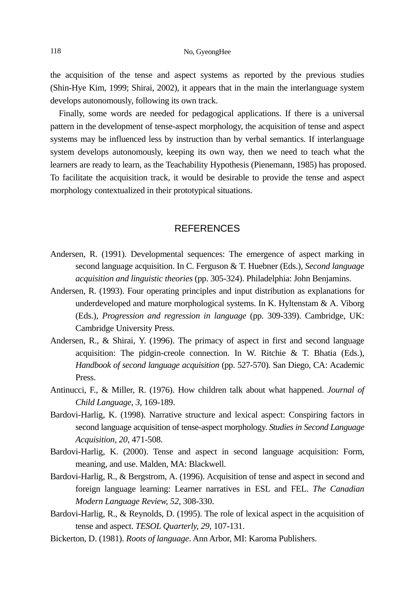the acquisition of the tense and aspect systems as reported by the previous studies (Shin-Hye Kim, 1999; Shirai, 2002), it appears that in the main the interlanguage system develops autonomously, following its own track.

Finally, some words are needed for pedagogical applications. If there is a universal pattern in the development of tense-aspect morphology, the acquisition of tense and aspect systems may be influenced less by instruction than by verbal semantics. If interlanguage system develops autonomously, keeping its own way, then we need to teach what the learners are ready to learn, as the Teachability Hypothesis (Pienemann, 1985) has proposed. To facilitate the acquisition track, it would be desirable to provide the tense and aspect morphology contextualized in their prototypical situations.

## **REFERENCES**

- Andersen, R. (1991). Developmental sequences: The emergence of aspect marking in second language acquisition. In C. Ferguson & T. Huebner (Eds.), *Second language acquisition and linguistic theories* (pp. 305-324). Philadelphia: John Benjamins.
- Andersen, R. (1993). Four operating principles and input distribution as explanations for underdeveloped and mature morphological systems. In K. Hyltenstam & A. Viborg (Eds.), *Progression and regression in language* (pp. 309-339). Cambridge, UK: Cambridge University Press.
- Andersen, R., & Shirai, Y. (1996). The primacy of aspect in first and second language acquisition: The pidgin-creole connection. In W. Ritchie & T. Bhatia (Eds.), *Handbook of second language acquisition* (pp. 527-570). San Diego, CA: Academic Press.
- Antinucci, F., & Miller, R. (1976). How children talk about what happened. *Journal of Child Language, 3*, 169-189.
- Bardovi-Harlig, K. (1998). Narrative structure and lexical aspect: Conspiring factors in second language acquisition of tense-aspect morphology. *Studies in Second Language Acquisition, 20*, 471-508.
- Bardovi-Harlig, K. (2000). Tense and aspect in second language acquisition: Form, meaning, and use. Malden, MA: Blackwell.
- Bardovi-Harlig, R., & Bergstrom, A. (1996). Acquisition of tense and aspect in second and foreign language learning: Learner narratives in ESL and FEL. *The Canadian Modern Language Review, 52*, 308-330.
- Bardovi-Harlig, R., & Reynolds, D. (1995). The role of lexical aspect in the acquisition of tense and aspect. *TESOL Quarterly, 29*, 107-131.
- Bickerton, D. (1981). *Roots of language*. Ann Arbor, MI: Karoma Publishers.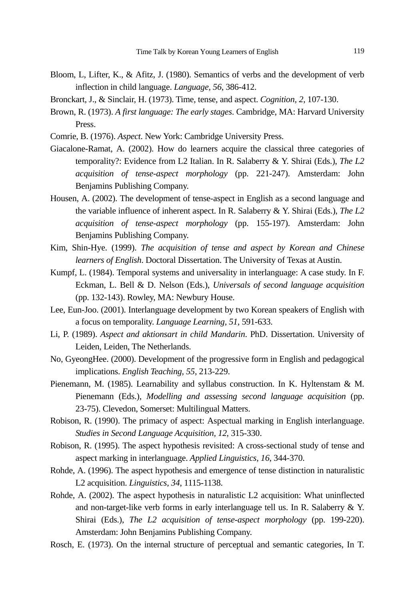- Bloom, L, Lifter, K., & Afitz, J. (1980). Semantics of verbs and the development of verb inflection in child language. *Language, 56*, 386-412.
- Bronckart, J., & Sinclair, H. (1973). Time, tense, and aspect. *Cognition, 2*, 107-130.
- Brown, R. (1973). *A first language: The early stages*. Cambridge, MA: Harvard University Press.
- Comrie, B. (1976). *Aspect*. New York: Cambridge University Press.
- Giacalone-Ramat, A. (2002). How do learners acquire the classical three categories of temporality?: Evidence from L2 Italian. In R. Salaberry & Y. Shirai (Eds.), *The L2 acquisition of tense-aspect morphology* (pp. 221-247). Amsterdam: John Benjamins Publishing Company.
- Housen, A. (2002). The development of tense-aspect in English as a second language and the variable influence of inherent aspect. In R. Salaberry & Y. Shirai (Eds.), *The L2 acquisition of tense-aspect morphology* (pp. 155-197). Amsterdam: John Benjamins Publishing Company.
- Kim, Shin-Hye. (1999). *The acquisition of tense and aspect by Korean and Chinese learners of English*. Doctoral Dissertation. The University of Texas at Austin.
- Kumpf, L. (1984). Temporal systems and universality in interlanguage: A case study. In F. Eckman, L. Bell & D. Nelson (Eds.), *Universals of second language acquisition* (pp. 132-143). Rowley, MA: Newbury House.
- Lee, Eun-Joo. (2001). Interlanguage development by two Korean speakers of English with a focus on temporality. *Language Learning, 51*, 591-633.
- Li, P. (1989). *Aspect and aktionsart in child Mandarin*. PhD. Dissertation. University of Leiden, Leiden, The Netherlands.
- No, GyeongHee. (2000). Development of the progressive form in English and pedagogical implications. *English Teaching, 55*, 213-229.
- Pienemann, M. (1985). Learnability and syllabus construction. In K. Hyltenstam & M. Pienemann (Eds.), *Modelling and assessing second language acquisition* (pp. 23-75). Clevedon, Somerset: Multilingual Matters.
- Robison, R. (1990). The primacy of aspect: Aspectual marking in English interlanguage. *Studies in Second Language Acquisition, 12*, 315-330.
- Robison, R. (1995). The aspect hypothesis revisited: A cross-sectional study of tense and aspect marking in interlanguage. *Applied Linguistics, 16*, 344-370.
- Rohde, A. (1996). The aspect hypothesis and emergence of tense distinction in naturalistic L2 acquisition. *Linguistics, 34*, 1115-1138.
- Rohde, A. (2002). The aspect hypothesis in naturalistic L2 acquisition: What uninflected and non-target-like verb forms in early interlanguage tell us. In R. Salaberry & Y. Shirai (Eds.), *The L2 acquisition of tense-aspect morphology* (pp. 199-220). Amsterdam: John Benjamins Publishing Company.
- Rosch, E. (1973). On the internal structure of perceptual and semantic categories, In T.